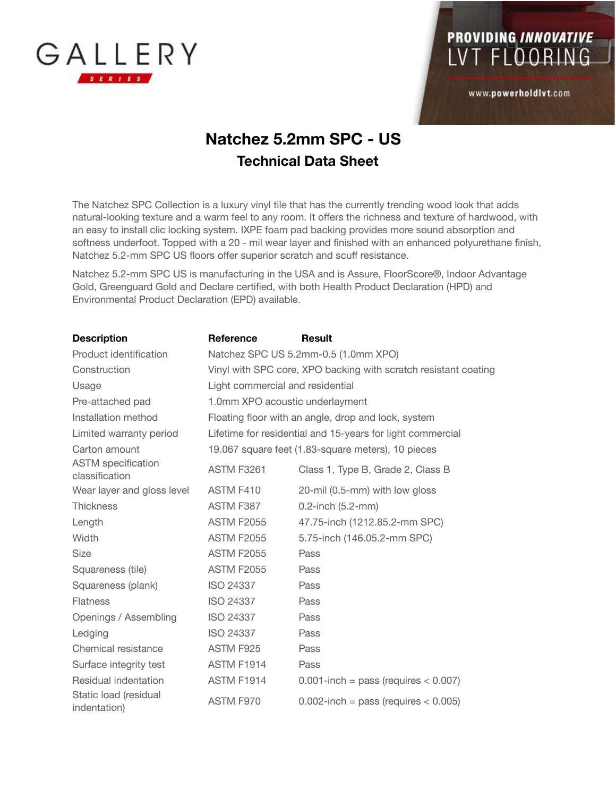



www.powerholdlvt.com

## **Natchez 5.2mm SPC - US Technical Data Sheet**

The Natchez SPC Collection is a luxury vinyl tile that has the currently trending wood look that adds natural-looking texture and a warm feel to any room. It offers the richness and texture of hardwood, with an easy to install clic locking system. IXPE foam pad backing provides more sound absorption and softness underfoot. Topped with a 20 - mil wear layer and finished with an enhanced polyurethane finish, Natchez 5.2-mm SPC US floors offer superior scratch and scuff resistance.

Natchez 5.2-mm SPC US is manufacturing in the USA and is Assure, FloorScore®, Indoor Advantage Gold, Greenguard Gold and Declare certified, with both Health Product Declaration (HPD) and Environmental Product Declaration (EPD) available.

| <b>Description</b>                          | Reference                                                       | <b>Result</b>                              |
|---------------------------------------------|-----------------------------------------------------------------|--------------------------------------------|
| Product identification                      | Natchez SPC US 5.2mm-0.5 (1.0mm XPO)                            |                                            |
| Construction                                | Vinyl with SPC core, XPO backing with scratch resistant coating |                                            |
| Usage                                       | Light commercial and residential                                |                                            |
| Pre-attached pad                            | 1.0mm XPO acoustic underlayment                                 |                                            |
| Installation method                         | Floating floor with an angle, drop and lock, system             |                                            |
| Limited warranty period                     | Lifetime for residential and 15-years for light commercial      |                                            |
| Carton amount                               | 19.067 square feet (1.83-square meters), 10 pieces              |                                            |
| <b>ASTM</b> specification<br>classification | <b>ASTM F3261</b>                                               | Class 1, Type B, Grade 2, Class B          |
| Wear layer and gloss level                  | ASTM F410                                                       | 20-mil (0.5-mm) with low gloss             |
| <b>Thickness</b>                            | ASTM F387                                                       | 0.2-inch (5.2-mm)                          |
| Length                                      | <b>ASTM F2055</b>                                               | 47.75-inch (1212.85.2-mm SPC)              |
| Width                                       | <b>ASTM F2055</b>                                               | 5.75-inch (146.05.2-mm SPC)                |
| <b>Size</b>                                 | <b>ASTM F2055</b>                                               | Pass                                       |
| Squareness (tile)                           | <b>ASTM F2055</b>                                               | Pass                                       |
| Squareness (plank)                          | <b>ISO 24337</b>                                                | Pass                                       |
| <b>Flatness</b>                             | <b>ISO 24337</b>                                                | Pass                                       |
| Openings / Assembling                       | <b>ISO 24337</b>                                                | Pass                                       |
| Ledging                                     | <b>ISO 24337</b>                                                | Pass                                       |
| Chemical resistance                         | ASTM F925                                                       | Pass                                       |
| Surface integrity test                      | ASTM F1914                                                      | Pass                                       |
| Residual indentation                        | ASTM F1914                                                      | $0.001$ -inch = pass (requires $< 0.007$ ) |
| Static load (residual<br>indentation)       | ASTM F970                                                       | $0.002$ -inch = pass (requires $< 0.005$ ) |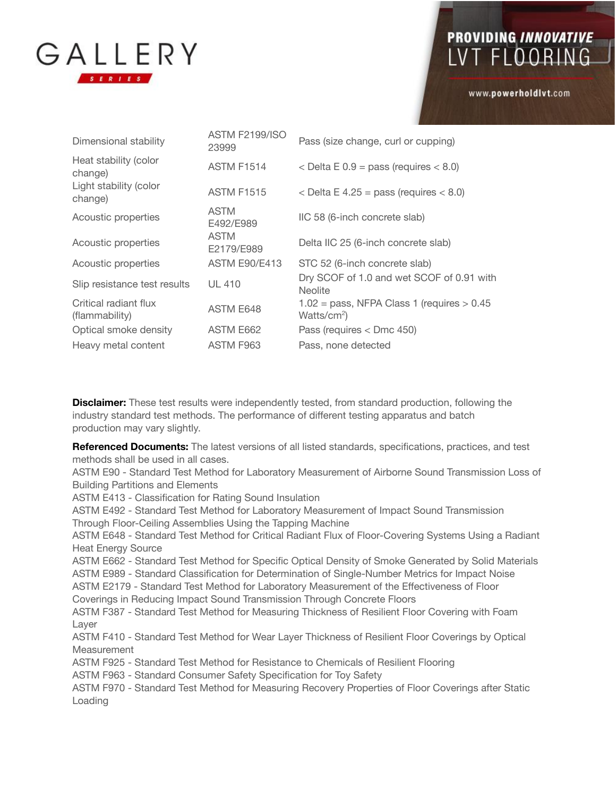

## PROVIDING INNOVATIVE LVT FLOORING

www.powerholdlvt.com

| Dimensional stability                   | <b>ASTM F2199/ISO</b><br>23999 | Pass (size change, curl or cupping)                                               |
|-----------------------------------------|--------------------------------|-----------------------------------------------------------------------------------|
| Heat stability (color<br>change)        | <b>ASTM F1514</b>              | $\epsilon$ Delta E 0.9 = pass (requires $\epsilon$ 8.0)                           |
| Light stability (color<br>change)       | <b>ASTM F1515</b>              | $\epsilon$ Delta E 4.25 = pass (requires $\epsilon$ 8.0)                          |
| Acoustic properties                     | <b>ASTM</b><br>E492/E989       | IIC 58 (6-inch concrete slab)                                                     |
| Acoustic properties                     | <b>ASTM</b><br>E2179/E989      | Delta IIC 25 (6-inch concrete slab)                                               |
| Acoustic properties                     | <b>ASTM E90/E413</b>           | STC 52 (6-inch concrete slab)                                                     |
| Slip resistance test results            | UL 410                         | Dry SCOF of 1.0 and wet SCOF of 0.91 with<br><b>Neolite</b>                       |
| Critical radiant flux<br>(flammability) | <b>ASTM E648</b>               | $1.02 = \text{pass}$ , NFPA Class 1 (requires $> 0.45$<br>Watts/cm <sup>2</sup> ) |
| Optical smoke density                   | ASTM E662                      | Pass (requires $<$ Dmc 450)                                                       |
| Heavy metal content                     | ASTM F963                      | Pass, none detected                                                               |
|                                         |                                |                                                                                   |

**Disclaimer:** These test results were independently tested, from standard production, following the industry standard test methods. The performance of different testing apparatus and batch production may vary slightly.

**Referenced Documents:** The latest versions of all listed standards, specifications, practices, and test methods shall be used in all cases.

ASTM E90 - Standard Test Method for Laboratory Measurement of Airborne Sound Transmission Loss of Building Partitions and Elements

ASTM E413 - Classification for Rating Sound Insulation

ASTM E492 - Standard Test Method for Laboratory Measurement of Impact Sound Transmission Through Floor-Ceiling Assemblies Using the Tapping Machine

ASTM E648 - Standard Test Method for Critical Radiant Flux of Floor-Covering Systems Using a Radiant Heat Energy Source

ASTM E662 - Standard Test Method for Specific Optical Density of Smoke Generated by Solid Materials ASTM E989 - Standard Classification for Determination of Single-Number Metrics for Impact Noise

ASTM E2179 - Standard Test Method for Laboratory Measurement of the Effectiveness of Floor Coverings in Reducing Impact Sound Transmission Through Concrete Floors

ASTM F387 - Standard Test Method for Measuring Thickness of Resilient Floor Covering with Foam Layer

ASTM F410 - Standard Test Method for Wear Layer Thickness of Resilient Floor Coverings by Optical Measurement

ASTM F925 - Standard Test Method for Resistance to Chemicals of Resilient Flooring

ASTM F963 - Standard Consumer Safety Specification for Toy Safety

ASTM F970 - Standard Test Method for Measuring Recovery Properties of Floor Coverings after Static Loading